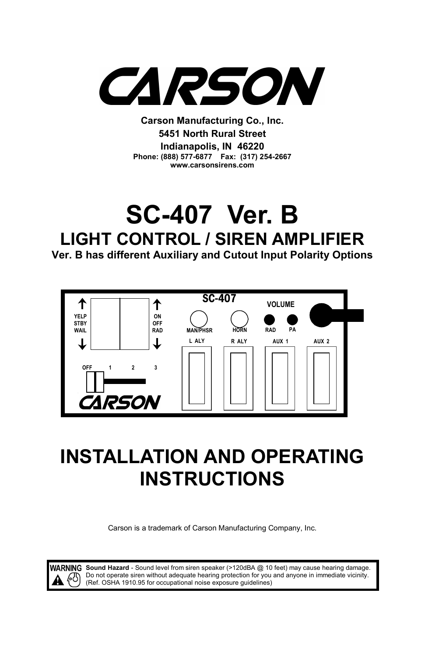

**Carson Manufacturing Co., Inc. 5451 North Rural Street Indianapolis, IN 46220 Phone: (888) 577-6877 Fax: (317) 254-2667 www.carsonsirens.com** 

# **SC-407 Ver. B LIGHT CONTROL / SIREN AMPLIFIER Ver. B has different Auxiliary and Cutout Input Polarity Options**



# **INSTALLATION AND OPERATING INSTRUCTIONS**

Carson is a trademark of Carson Manufacturing Company, Inc.

**Sound Hazard** - Sound level from siren speaker (>120dBA @ 10 feet) may cause hearing damage. Do not operate siren without adequate hearing protection for you and anyone in immediate vicinity. (Ref. OSHA 1910.95 for occupational noise exposure guidelines)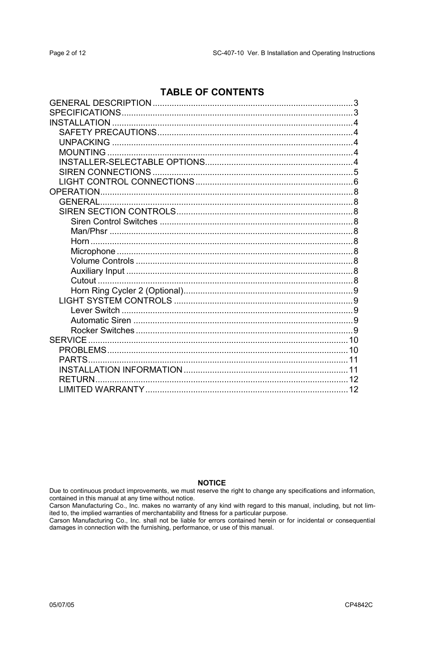### **TABLE OF CONTENTS**

| <b>RETURN</b> |  |
|---------------|--|
|               |  |

### **NOTICE**

Due to continuous product improvements, we must reserve the right to change any specifications and information, contained in this manual at any time without notice.

Carson Manufacturing Co., Inc. makes no warranty of any kind with regard to this manual, including, but not limited to, the implied warranties of merchantability and fitness for a particular purpose.

Carson Manufacturing Co., Inc. shall not be liable for errors contained herein or for incidental or consequential<br>damages in connection with the furnishing, performance, or use of this manual.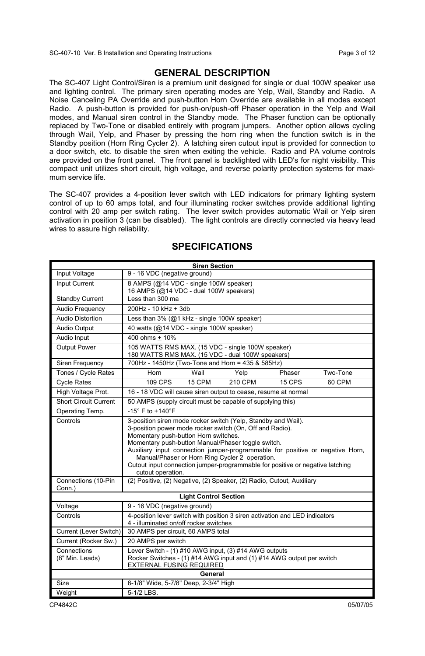SC-407-10 Ver. B Installation and Operating Instructions Page 3 of 12

### **GENERAL DESCRIPTION**

The SC-407 Light Control/Siren is a premium unit designed for single or dual 100W speaker use and lighting control. The primary siren operating modes are Yelp, Wail, Standby and Radio. A Noise Canceling PA Override and push-button Horn Override are available in all modes except Radio. A push-button is provided for push-on/push-off Phaser operation in the Yelp and Wail modes, and Manual siren control in the Standby mode. The Phaser function can be optionally replaced by Two-Tone or disabled entirely with program jumpers. Another option allows cycling through Wail, Yelp, and Phaser by pressing the horn ring when the function switch is in the Standby position (Horn Ring Cycler 2). A latching siren cutout input is provided for connection to a door switch, etc. to disable the siren when exiting the vehicle. Radio and PA volume controls are provided on the front panel. The front panel is backlighted with LED's for night visibility. This compact unit utilizes short circuit, high voltage, and reverse polarity protection systems for maximum service life.

The SC-407 provides a 4-position lever switch with LED indicators for primary lighting system control of up to 60 amps total, and four illuminating rocker switches provide additional lighting control with 20 amp per switch rating. The lever switch provides automatic Wail or Yelp siren activation in position 3 (can be disabled). The light controls are directly connected via heavy lead wires to assure high reliability.

| <b>Siren Section</b>           |                                                                                                                                                                                                                                                                                                                                                                                                                                                                  |  |  |
|--------------------------------|------------------------------------------------------------------------------------------------------------------------------------------------------------------------------------------------------------------------------------------------------------------------------------------------------------------------------------------------------------------------------------------------------------------------------------------------------------------|--|--|
| Input Voltage                  | 9 - 16 VDC (negative ground)                                                                                                                                                                                                                                                                                                                                                                                                                                     |  |  |
| Input Current                  | 8 AMPS (@14 VDC - single 100W speaker)<br>16 AMPS (@14 VDC - dual 100W speakers)                                                                                                                                                                                                                                                                                                                                                                                 |  |  |
| <b>Standby Current</b>         | Less than 300 ma                                                                                                                                                                                                                                                                                                                                                                                                                                                 |  |  |
| Audio Frequency                | 200Hz - 10 kHz + 3db                                                                                                                                                                                                                                                                                                                                                                                                                                             |  |  |
| Audio Distortion               | Less than 3% (@1 kHz - single 100W speaker)                                                                                                                                                                                                                                                                                                                                                                                                                      |  |  |
| Audio Output                   | 40 watts (@14 VDC - single 100W speaker)                                                                                                                                                                                                                                                                                                                                                                                                                         |  |  |
| Audio Input                    | 400 ohms + 10%                                                                                                                                                                                                                                                                                                                                                                                                                                                   |  |  |
| Output Power                   | 105 WATTS RMS MAX. (15 VDC - single 100W speaker)<br>180 WATTS RMS MAX. (15 VDC - dual 100W speakers)                                                                                                                                                                                                                                                                                                                                                            |  |  |
| Siren Frequency                | 700Hz - 1450Hz (Two-Tone and Horn = 435 & 585Hz)                                                                                                                                                                                                                                                                                                                                                                                                                 |  |  |
| Tones / Cycle Rates            | Horn<br>Wail<br>Two-Tone<br>Yelp<br>Phaser                                                                                                                                                                                                                                                                                                                                                                                                                       |  |  |
| <b>Cycle Rates</b>             | 109 CPS<br>15 CPM<br>210 CPM<br>15 CPS<br>60 CPM                                                                                                                                                                                                                                                                                                                                                                                                                 |  |  |
| High Voltage Prot.             | 16 - 18 VDC will cause siren output to cease, resume at normal                                                                                                                                                                                                                                                                                                                                                                                                   |  |  |
| <b>Short Circuit Current</b>   | 50 AMPS (supply circuit must be capable of supplying this)                                                                                                                                                                                                                                                                                                                                                                                                       |  |  |
| Operating Temp.                | -15° F to +140°F                                                                                                                                                                                                                                                                                                                                                                                                                                                 |  |  |
| Controls                       | 3-position siren mode rocker switch (Yelp, Standby and Wail).<br>3-position power mode rocker switch (On, Off and Radio).<br>Momentary push-button Horn switches.<br>Momentary push-button Manual/Phaser toggle switch.<br>Auxiliary input connection jumper-programmable for positive or negative Horn,<br>Manual/Phaser or Horn Ring Cycler 2 operation.<br>Cutout input connection jumper-programmable for positive or negative latching<br>cutout operation. |  |  |
| Connections (10-Pin<br>Conn.)  | (2) Positive, (2) Negative, (2) Speaker, (2) Radio, Cutout, Auxiliary                                                                                                                                                                                                                                                                                                                                                                                            |  |  |
|                                | <b>Light Control Section</b>                                                                                                                                                                                                                                                                                                                                                                                                                                     |  |  |
| Voltage                        | 9 - 16 VDC (negative ground)                                                                                                                                                                                                                                                                                                                                                                                                                                     |  |  |
| Controls                       | 4-position lever switch with position 3 siren activation and LED indicators<br>4 - illuminated on/off rocker switches                                                                                                                                                                                                                                                                                                                                            |  |  |
| Current (Lever Switch)         | 30 AMPS per circuit, 60 AMPS total                                                                                                                                                                                                                                                                                                                                                                                                                               |  |  |
| Current (Rocker Sw.)           | 20 AMPS per switch                                                                                                                                                                                                                                                                                                                                                                                                                                               |  |  |
| Connections<br>(8" Min. Leads) | Lever Switch - (1) #10 AWG input, (3) #14 AWG outputs<br>Rocker Switches - (1) #14 AWG input and (1) #14 AWG output per switch<br>EXTERNAL FUSING REQUIRED                                                                                                                                                                                                                                                                                                       |  |  |
| General                        |                                                                                                                                                                                                                                                                                                                                                                                                                                                                  |  |  |
| Size                           | 6-1/8" Wide, 5-7/8" Deep, 2-3/4" High                                                                                                                                                                                                                                                                                                                                                                                                                            |  |  |
| Weight                         | 5-1/2 LBS.                                                                                                                                                                                                                                                                                                                                                                                                                                                       |  |  |

### **SPECIFICATIONS**

CP4842C 05/07/05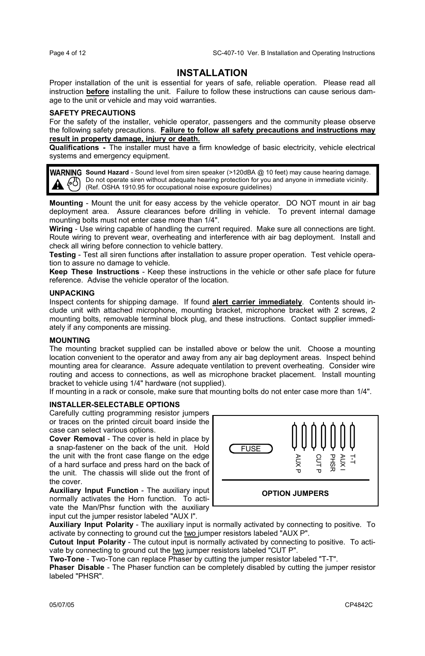### **INSTALLATION**

Proper installation of the unit is essential for years of safe, reliable operation. Please read all instruction **before** installing the unit. Failure to follow these instructions can cause serious damage to the unit or vehicle and may void warranties.

### **SAFETY PRECAUTIONS**

For the safety of the installer, vehicle operator, passengers and the community please observe the following safety precautions. **Failure to follow all safety precautions and instructions may result in property damage, injury or death.**

**Qualifications -** The installer must have a firm knowledge of basic electricity, vehicle electrical systems and emergency equipment.

WARNING Sound Hazard - Sound level from siren speaker (>120dBA @ 10 feet) may cause hearing damage. Do not operate siren without adequate hearing protection for you and anyone in immediate vicinity. (A) Do not operate siren without adequate hearing protection for you<br>(Ref. OSHA 1910.95 for occupational noise exposure guidelines)

**Mounting** - Mount the unit for easy access by the vehicle operator. DO NOT mount in air bag deployment area. Assure clearances before drilling in vehicle. To prevent internal damage mounting bolts must not enter case more than 1/4".

**Wiring** - Use wiring capable of handling the current required. Make sure all connections are tight. Route wiring to prevent wear, overheating and interference with air bag deployment. Install and check all wiring before connection to vehicle battery.

**Testing** - Test all siren functions after installation to assure proper operation. Test vehicle operation to assure no damage to vehicle.

**Keep These Instructions** - Keep these instructions in the vehicle or other safe place for future reference. Advise the vehicle operator of the location.

### **UNPACKING**

Inspect contents for shipping damage. If found **alert carrier immediately**. Contents should include unit with attached microphone, mounting bracket, microphone bracket with 2 screws, 2 mounting bolts, removable terminal block plug, and these instructions. Contact supplier immediately if any components are missing.

### **MOUNTING**

The mounting bracket supplied can be installed above or below the unit. Choose a mounting location convenient to the operator and away from any air bag deployment areas. Inspect behind mounting area for clearance. Assure adequate ventilation to prevent overheating. Consider wire routing and access to connections, as well as microphone bracket placement. Install mounting bracket to vehicle using 1/4" hardware (not supplied).

If mounting in a rack or console, make sure that mounting bolts do not enter case more than 1/4".

### **INSTALLER-SELECTABLE OPTIONS**

Carefully cutting programming resistor jumpers or traces on the printed circuit board inside the case can select various options.

**Cover Removal** - The cover is held in place by a snap-fastener on the back of the unit. Hold the unit with the front case flange on the edge of a hard surface and press hard on the back of the unit. The chassis will slide out the front of the cover.

**Auxiliary Input Function** - The auxiliary input normally activates the Horn function. To activate the Man/Phsr function with the auxiliary input cut the jumper resistor labeled "AUX I".



**Auxiliary Input Polarity** - The auxiliary input is normally activated by connecting to positive. To activate by connecting to ground cut the two jumper resistors labeled "AUX P".

**Cutout Input Polarity** - The cutout input is normally activated by connecting to positive. To activate by connecting to ground cut the two jumper resistors labeled "CUT P".

**Two-Tone** - Two-Tone can replace Phaser by cutting the jumper resistor labeled "T-T".

**Phaser Disable** - The Phaser function can be completely disabled by cutting the jumper resistor labeled "PHSR".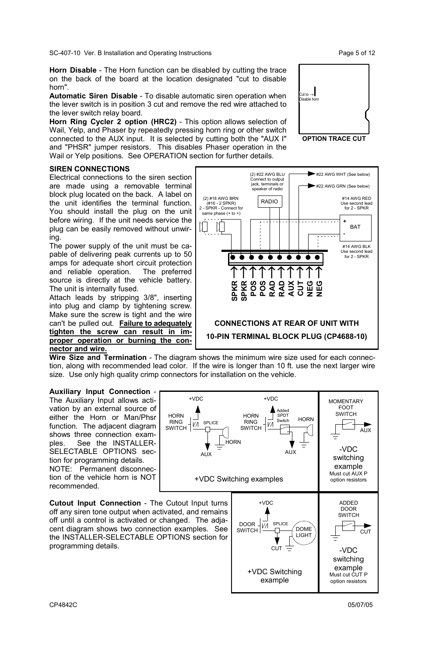SC-407-10 Ver. B Installation and Operating Instructions Page 5 of 12

**Horn Disable** - The Horn function can be disabled by cutting the trace on the back of the board at the location designated "cut to disable horn".

**Automatic Siren Disable** - To disable automatic siren operation when the lever switch is in position 3 cut and remove the red wire attached to the lever switch relay board.

**Horn Ring Cycler 2 option (HRC2)** - This option allows selection of Wail, Yelp, and Phaser by repeatedly pressing horn ring or other switch connected to the AUX input. It is selected by cutting both the "AUX I" and "PHSR" jumper resistors. This disables Phaser operation in the Wail or Yelp positions. See OPERATION section for further details.

### **SIREN CONNECTIONS**

Electrical connections to the siren section are made using a removable terminal block plug located on the back. A label on the unit identifies the terminal function. You should install the plug on the unit before wiring. If the unit needs service the plug can be easily removed without unwiring.

The power supply of the unit must be capable of delivering peak currents up to 50 amps for adequate short circuit protection<br>and reliable operation. The preferred and reliable operation. source is directly at the vehicle battery. The unit is internally fused.

Attach leads by stripping 3/8", inserting into plug and clamp by tightening screw. Make sure the screw is tight and the wire can't be pulled out. **Failure to adequately tighten the screw can result in improper operation or burning the connector and wire.**

**Wire Size and Termination** - The diagram shows the minimum wire size used for each connection, along with recommended lead color. If the wire is longer than 10 ft. use the next larger wire size. Use only high quality crimp connectors for installation on the vehicle.

SPLICE

+VDC

VÀ

HORN RING SWITCH<sup>-</sup> (2) #18 AWG BRN (#16 - 2 SPKR) 2 - SPKR - Connect for same phase (+ to +)

吅  $\prod_{i=1}^{n}$ 

> **SPKR**  → **SPKR**  → **POS**  →**POS**  →**RAD**  →**RAD**  →**AUX**  →**CUT**  →**NEG**  →**NEG**  ↑

**HORN** RING SWITCH

**HORN** 

+VDC

VЛ

Added SPDT Switch

**HORN** 

### **Auxiliary Input Connection** - The Auxiliary Input allows acti-

vation by an external source of either the Horn or Man/Phsr function. The adjacent diagram shows three connection examples. See the INSTALLER-SELECTABLE OPTIONS section for programming details.

NOTE: Permanent disconnection of the vehicle horn is NOT recommended.

**Cutout Input Connection** - The Cutout Input turns off any siren tone output when activated, and remains off until a control is activated or changed. The adjacent diagram shows two connection examples. See the INSTALLER-SELECTABLE OPTIONS section for programming details.



**CONNECTIONS AT REAR OF UNIT WITH 10-PIN TERMINAL BLOCK PLUG (CP4688-10)** 

<del>ïïïïïïïï</del>

(2) #22 AWG BLU Connect to output jack, terminals or speaker of radio

RADIO



#22 AWG WHT (See below) #22 AWG GRN (See below)

> **+ BAT -**

**MOMENTARY** FOOT **SWITCH** 

**AUX** 

#14 AWG RED Use second lead for 2 - SPKR

#14 AWG BLK Use second lead for 2 - SPKR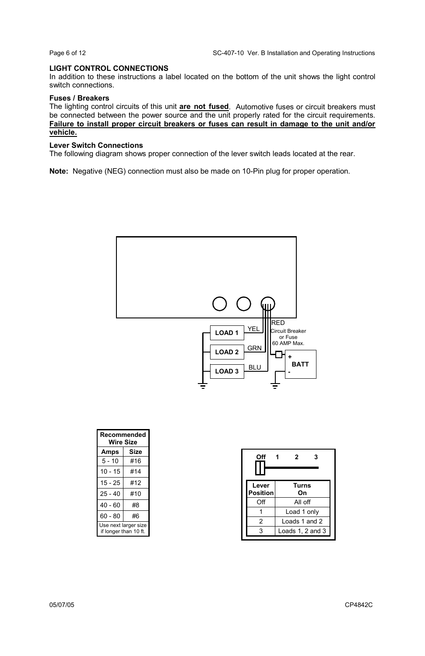### **LIGHT CONTROL CONNECTIONS**

In addition to these instructions a label located on the bottom of the unit shows the light control switch connections.

### **Fuses / Breakers**

The lighting control circuits of this unit **are not fused**. Automotive fuses or circuit breakers must be connected between the power source and the unit properly rated for the circuit requirements. **Failure to install proper circuit breakers or fuses can result in damage to the unit and/or vehicle.**

### **Lever Switch Connections**

The following diagram shows proper connection of the lever switch leads located at the rear.

**Note:** Negative (NEG) connection must also be made on 10-Pin plug for proper operation.



| Recommended<br>Wire Size                      |      |  |
|-----------------------------------------------|------|--|
| Amps                                          | Size |  |
| $5 - 10$                                      | #16  |  |
| $10 - 15$                                     | #14  |  |
| $15 - 25$                                     | #12  |  |
| $25 - 40$                                     | #10  |  |
| $40 - 60$                                     | #8   |  |
| $60 - 80$                                     | #6   |  |
| Use next larger size<br>if longer than 10 ft. |      |  |

| Off               | 2<br>з           |
|-------------------|------------------|
| Lever<br>Position | Turns<br>On      |
| Off               | All off          |
|                   | Load 1 only      |
| 2                 | Loads 1 and 2    |
| 3                 | Loads 1, 2 and 3 |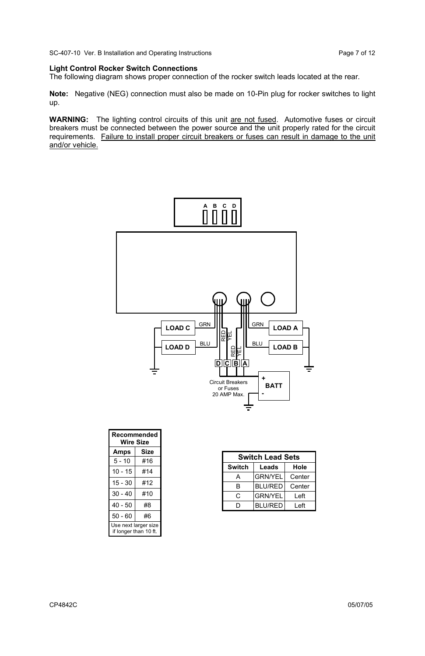SC-407-10 Ver. B Installation and Operating Instructions Page 7 of 12

### **Light Control Rocker Switch Connections**

The following diagram shows proper connection of the rocker switch leads located at the rear.

**Note:** Negative (NEG) connection must also be made on 10-Pin plug for rocker switches to light up.

**WARNING:** The lighting control circuits of this unit are not fused. Automotive fuses or circuit breakers must be connected between the power source and the unit properly rated for the circuit requirements. Failure to install proper circuit breakers or fuses can result in damage to the unit and/or vehicle.



| Recommended<br>Wire Size                      |      |  |
|-----------------------------------------------|------|--|
| Amps                                          | Size |  |
| $5 - 10$                                      | #16  |  |
| $10 - 15$                                     | #14  |  |
| $15 - 30$                                     | #12  |  |
| $30 - 40$                                     | #10  |  |
| $40 - 50$                                     | #8   |  |
| $50 - 60$                                     | #6   |  |
| Use next larger size<br>if longer than 10 ft. |      |  |

| <b>Switch Lead Sets</b> |                |        |
|-------------------------|----------------|--------|
| Switch                  | Leads          | Hole   |
| А                       | <b>GRN/YEL</b> | Center |
| R                       | <b>BLU/RED</b> | Center |
| C                       | <b>GRN/YEL</b> | Left   |
| ח                       | <b>BLU/RED</b> | Left   |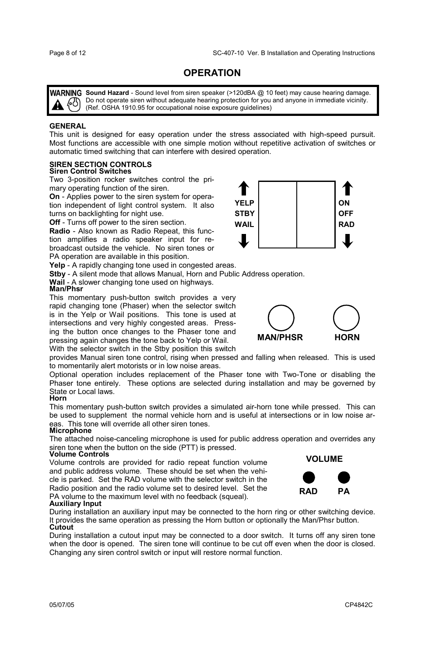### **OPERATION**

WARNING Sound Hazard - Sound level from siren speaker (>120dBA @ 10 feet) may cause hearing damage. Do not operate siren without adequate hearing protection for you and anyone in immediate vicinity.  $\binom{8}{5}$  Do not operate siren without adequate nearing protection for you<br>(Ref. OSHA 1910.95 for occupational noise exposure guidelines)

### **GENERAL**

This unit is designed for easy operation under the stress associated with high-speed pursuit. Most functions are accessible with one simple motion without repetitive activation of switches or automatic timed switching that can interfere with desired operation.

## **SIREN SECTION CONTROLS Siren Control Switches**

Two 3-position rocker switches control the primary operating function of the siren.

**On** - Applies power to the siren system for operation independent of light control system. It also turns on backlighting for night use.

**Off** - Turns off power to the siren section.

**Radio** - Also known as Radio Repeat, this function amplifies a radio speaker input for rebroadcast outside the vehicle. No siren tones or PA operation are available in this position.

**Yelp** - A rapidly changing tone used in congested areas.

**Stby** - A silent mode that allows Manual, Horn and Public Address operation.

**Wail** - A slower changing tone used on highways. **Man/Phsr** 

This momentary push-button switch provides a very rapid changing tone (Phaser) when the selector switch is in the Yelp or Wail positions. This tone is used at intersections and very highly congested areas. Pressing the button once changes to the Phaser tone and pressing again changes the tone back to Yelp or Wail.

With the selector switch in the Stby position this switch

provides Manual siren tone control, rising when pressed and falling when released. This is used to momentarily alert motorists or in low noise areas.

Optional operation includes replacement of the Phaser tone with Two-Tone or disabling the Phaser tone entirely. These options are selected during installation and may be governed by State or Local laws.

### **Horn**

This momentary push-button switch provides a simulated air-horn tone while pressed. This can be used to supplement the normal vehicle horn and is useful at intersections or in low noise areas. This tone will override all other siren tones.

### **Microphone**

The attached noise-canceling microphone is used for public address operation and overrides any siren tone when the button on the side (PTT) is pressed.

### **Volume Controls**

Volume controls are provided for radio repeat function volume and public address volume. These should be set when the vehicle is parked. Set the RAD volume with the selector switch in the Radio position and the radio volume set to desired level. Set the PA volume to the maximum level with no feedback (squeal).

### **Auxiliary Input**

During installation an auxiliary input may be connected to the horn ring or other switching device. It provides the same operation as pressing the Horn button or optionally the Man/Phsr button. **Cutout** 

During installation a cutout input may be connected to a door switch. It turns off any siren tone when the door is opened. The siren tone will continue to be cut off even when the door is closed. Changing any siren control switch or input will restore normal function.





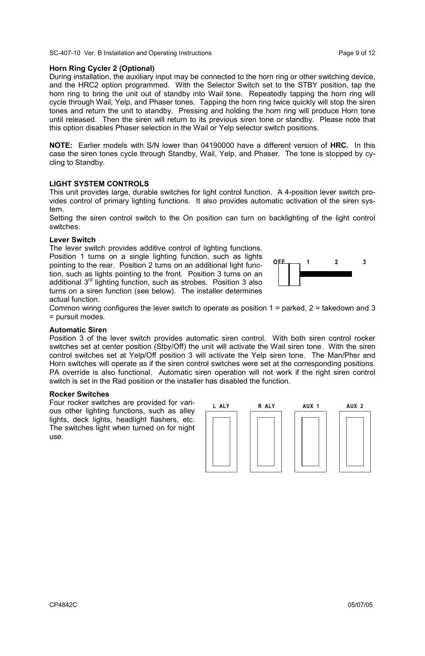SC-407-10 Ver. B Installation and Operating Instructions Page 9 of 12

### **Horn Ring Cycler 2 (Optional)**

During installation, the auxiliary input may be connected to the horn ring or other switching device, and the HRC2 option programmed. With the Selector Switch set to the STBY position, tap the horn ring to bring the unit out of standby into Wail tone. Repeatedly tapping the horn ring will cycle through Wail, Yelp, and Phaser tones. Tapping the horn ring twice quickly will stop the siren tones and return the unit to standby. Pressing and holding the horn ring will produce Horn tone until released. Then the siren will return to its previous siren tone or standby. Please note that this option disables Phaser selection in the Wail or Yelp selector switch positions.

**NOTE:** Earlier models with S/N lower than 04190000 have a different version of **HRC.** In this case the siren tones cycle through Standby, Wail, Yelp, and Phaser. The tone is stopped by cycling to Standby.

### **LIGHT SYSTEM CONTROLS**

This unit provides large, durable switches for light control function. A 4-position lever switch provides control of primary lighting functions. It also provides automatic activation of the siren system.

Setting the siren control switch to the On position can turn on backlighting of the light control switches.

### **Lever Switch**

The lever switch provides additive control of lighting functions. Position 1 turns on a single lighting function, such as lights pointing to the rear. Position 2 turns on an additional light function, such as lights pointing to the front. Position 3 turns on an additional 3rd lighting function, such as strobes. Position 3 also turns on a siren function (see below). The installer determines actual function.



Common wiring configures the lever switch to operate as position 1 = parked, 2 = takedown and 3 = pursuit modes.

### **Automatic Siren**

Position 3 of the lever switch provides automatic siren control. With both siren control rocker switches set at center position (Stby/Off) the unit will activate the Wail siren tone. With the siren control switches set at Yelp/Off position 3 will activate the Yelp siren tone. The Man/Phsr and Horn switches will operate as if the siren control switches were set at the corresponding positions. PA override is also functional. Automatic siren operation will not work if the right siren control switch is set in the Rad position or the installer has disabled the function.

### **Rocker Switches**

Four rocker switches are provided for various other lighting functions, such as alley lights, deck lights, headlight flashers, etc. The switches light when turned on for night use.

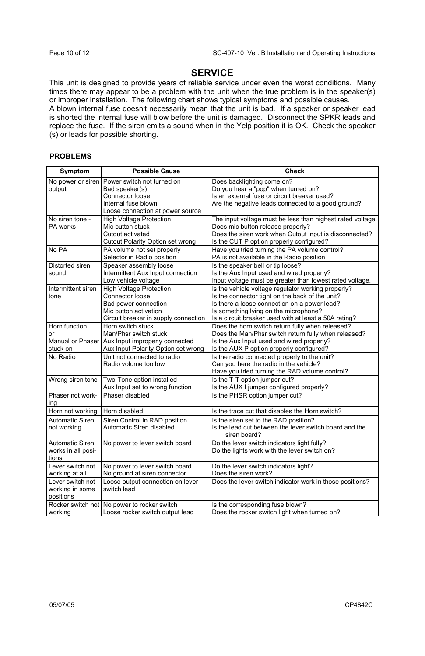### **SERVICE**

This unit is designed to provide years of reliable service under even the worst conditions. Many times there may appear to be a problem with the unit when the true problem is in the speaker(s) or improper installation. The following chart shows typical symptoms and possible causes.

A blown internal fuse doesn't necessarily mean that the unit is bad. If a speaker or speaker lead is shorted the internal fuse will blow before the unit is damaged. Disconnect the SPKR leads and replace the fuse. If the siren emits a sound when in the Yelp position it is OK. Check the speaker (s) or leads for possible shorting.

### **PROBLEMS**

| Symptom                  | <b>Possible Cause</b>                                       | Check                                                                                      |
|--------------------------|-------------------------------------------------------------|--------------------------------------------------------------------------------------------|
| No power or siren        | Power switch not turned on                                  | Does backlighting come on?                                                                 |
| output                   | Bad speaker(s)                                              | Do you hear a "pop" when turned on?                                                        |
|                          | Connector loose                                             | Is an external fuse or circuit breaker used?                                               |
|                          | Internal fuse blown                                         | Are the negative leads connected to a good ground?                                         |
|                          | Loose connection at power source                            |                                                                                            |
| No siren tone -          | <b>High Voltage Protection</b>                              | The input voltage must be less than highest rated voltage.                                 |
| PA works                 | Mic button stuck                                            | Does mic button release properly?                                                          |
|                          | Cutout activated                                            | Does the siren work when Cutout input is disconnected?                                     |
|                          | Cutout Polarity Option set wrong                            | Is the CUT P option properly configured?                                                   |
| No PA                    | PA volume not set properly<br>Selector in Radio position    | Have you tried turning the PA volume control?<br>PA is not available in the Radio position |
|                          |                                                             |                                                                                            |
| Distorted siren<br>sound | Speaker assembly loose<br>Intermittent Aux Input connection | Is the speaker bell or tip loose?<br>Is the Aux Input used and wired properly?             |
|                          | Low vehicle voltage                                         | Input voltage must be greater than lowest rated voltage.                                   |
| Intermittent siren       | <b>High Voltage Protection</b>                              | Is the vehicle voltage regulator working properly?                                         |
| tone                     | Connector loose                                             | Is the connector tight on the back of the unit?                                            |
|                          | Bad power connection                                        | Is there a loose connection on a power lead?                                               |
|                          | Mic button activation                                       | Is something lying on the microphone?                                                      |
|                          | Circuit breaker in supply connection                        | Is a circuit breaker used with at least a 50A rating?                                      |
| Horn function            | Horn switch stuck                                           | Does the horn switch return fully when released?                                           |
| or                       | Man/Phsr switch stuck                                       | Does the Man/Phsr switch return fully when released?                                       |
| Manual or Phaser         | Aux Input improperly connected                              | Is the Aux Input used and wired properly?                                                  |
| stuck on                 | Aux Input Polarity Option set wrong                         | Is the AUX P option properly configured?                                                   |
| No Radio                 | Unit not connected to radio                                 | Is the radio connected properly to the unit?                                               |
|                          | Radio volume too low                                        | Can you here the radio in the vehicle?                                                     |
|                          |                                                             | Have you tried turning the RAD volume control?                                             |
| Wrong siren tone         | Two-Tone option installed                                   | Is the T-T option jumper cut?                                                              |
|                          | Aux Input set to wrong function                             | Is the AUX I jumper configured properly?                                                   |
| Phaser not work-         | Phaser disabled                                             | Is the PHSR option jumper cut?                                                             |
| ing                      |                                                             |                                                                                            |
| Horn not working         | Horn disabled                                               | Is the trace cut that disables the Horn switch?                                            |
| Automatic Siren          | Siren Control in RAD position                               | Is the siren set to the RAD position?                                                      |
| not working              | Automatic Siren disabled                                    | Is the lead cut between the lever switch board and the<br>siren board?                     |
| Automatic Siren          | No power to lever switch board                              | Do the lever switch indicators light fully?                                                |
| works in all posi-       |                                                             | Do the lights work with the lever switch on?                                               |
| tions                    |                                                             |                                                                                            |
| Lever switch not         | No power to lever switch board                              | Do the lever switch indicators light?                                                      |
| working at all           | No ground at siren connector                                | Does the siren work?                                                                       |
| Lever switch not         | Loose output connection on lever                            | Does the lever switch indicator work in those positions?                                   |
| working in some          | switch lead                                                 |                                                                                            |
| positions                |                                                             |                                                                                            |
| Rocker switch not        | No power to rocker switch                                   | Is the corresponding fuse blown?                                                           |
| working                  | Loose rocker switch output lead                             | Does the rocker switch light when turned on?                                               |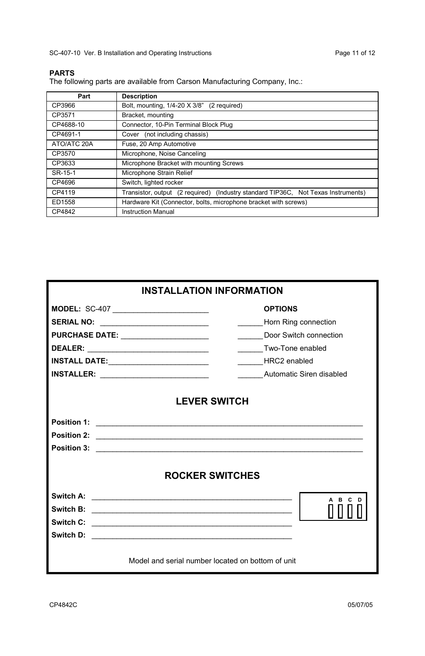SC-407-10 Ver. B Installation and Operating Instructions extending the Page 11 of 12

### **PARTS**

The following parts are available from Carson Manufacturing Company, Inc.:

| Part        | <b>Description</b>                                                                |
|-------------|-----------------------------------------------------------------------------------|
| CP3966      | Bolt, mounting, 1/4-20 X 3/8" (2 required)                                        |
| CP3571      | Bracket, mounting                                                                 |
| CP4688-10   | Connector, 10-Pin Terminal Block Plug                                             |
| CP4691-1    | Cover (not including chassis)                                                     |
| ATO/ATC 20A | Fuse, 20 Amp Automotive                                                           |
| CP3570      | Microphone, Noise Canceling                                                       |
| CP3633      | Microphone Bracket with mounting Screws                                           |
| SR-15-1     | Microphone Strain Relief                                                          |
| CP4696      | Switch, lighted rocker                                                            |
| CP4119      | Transistor, output (2 required) (Industry standard TIP36C, Not Texas Instruments) |
| ED1558      | Hardware Kit (Connector, bolts, microphone bracket with screws)                   |
| CP4842      | <b>Instruction Manual</b>                                                         |

| <b>INSTALLATION INFORMATION</b>                                     |                        |  |
|---------------------------------------------------------------------|------------------------|--|
| MODEL: SC-407 _______________________                               | <b>OPTIONS</b>         |  |
| SERIAL NO: ___________________________                              | Horn Ring connection   |  |
| <b>PURCHASE DATE:</b> _____________________                         | Door Switch connection |  |
| DEALER: __________________________________                          | Two-Tone enabled       |  |
| INSTALL DATE:__________________________                             | HRC2 enabled           |  |
| INSTALLER: __________________________<br>Automatic Siren disabled   |                        |  |
| <b>LEVER SWITCH</b>                                                 |                        |  |
|                                                                     |                        |  |
|                                                                     |                        |  |
|                                                                     |                        |  |
| <b>ROCKER SWITCHES</b>                                              |                        |  |
| Switch A:<br><u> 2000 - Jan Barnett, fransk politiker (d. 1982)</u> | A B C                  |  |
|                                                                     |                        |  |
| Switch C:                                                           |                        |  |
|                                                                     |                        |  |
| Model and serial number located on bottom of unit                   |                        |  |